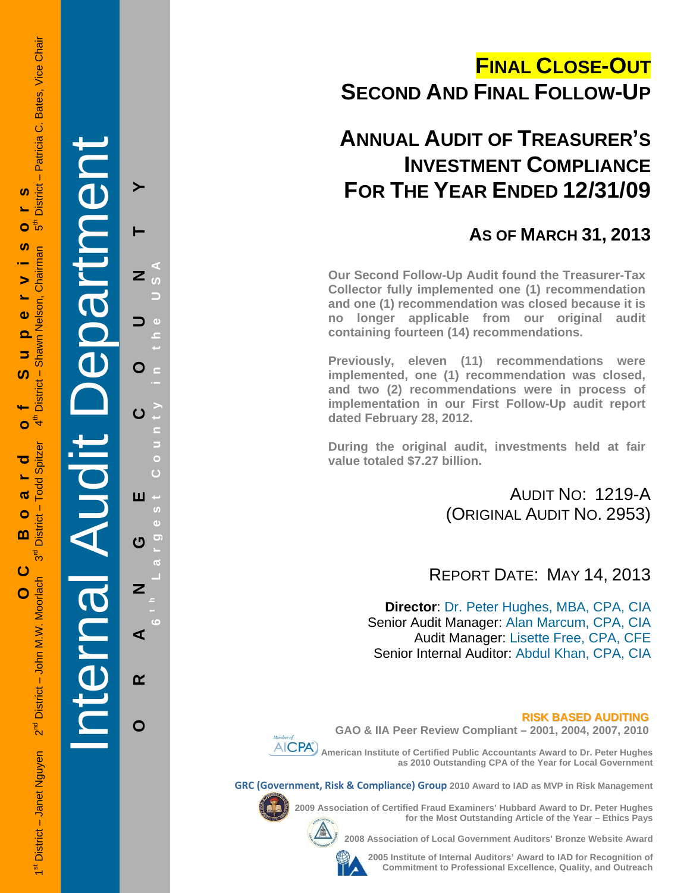# **FINAL CLOSE-OUT SECOND AND FINAL FOLLOW-UP**

## **ANNUAL AUDIT OF TREASURER'S INVESTMENT COMPLIANCE FOR THE YEAR ENDED 12/31/09**

## **AS OF MARCH 31, 2013**

**Our Second Follow-Up Audit found the Treasurer-Tax Collector fully implemented one (1) recommendation and one (1) recommendation was closed because it is no longer applicable from our original audit containing fourteen (14) recommendations.** 

**Previously, eleven (11) recommendations were implemented, one (1) recommendation was closed, and two (2) recommendations were in process of implementation in our First Follow-Up audit report dated February 28, 2012.** 

**During the original audit, investments held at fair value totaled \$7.27 billion.** 

> AUDIT NO: 1219-A (ORIGINAL AUDIT NO. 2953)

## REPORT DATE: MAY 14, 2013

**Director**: Dr. Peter Hughes, MBA, CPA, CIA Senior Audit Manager: Alan Marcum, CPA, CIA Audit Manager: Lisette Free, CPA, CFE Senior Internal Auditor: Abdul Khan, CPA, CIA

**RISK BASED AUDITING GAO & IIA Peer Review Compliant – 2001, 2004, 2007, 2010** 



 **American Institute of Certified Public Accountants Award to Dr. Peter Hughes as 2010 Outstanding CPA of the Year for Local Government** 

**GRC (Government, Risk & Compliance) Group 2010 Award to IAD as MVP in Risk Management** 



**2009 Association of Certified Fraud Examiners' Hubbard Award to Dr. Peter Hughes** 

**for the Most Outstanding Article of the Year – Ethics Pays 2008 Association of Local Government Auditors' Bronze Website Award** 



**2005 Institute of Internal Auditors' Award to IAD for Recognition of Commitment to Professional Excellence, Quality, and Outreach**

**ORANGE COUNTY 6 t h Lar y in the USA**  $\overline{z}$ O **est Count** ш  $\boldsymbol{\sigma}$  $\overline{z}$ ⋖  $\alpha$ O

**g**

Internal Audit Department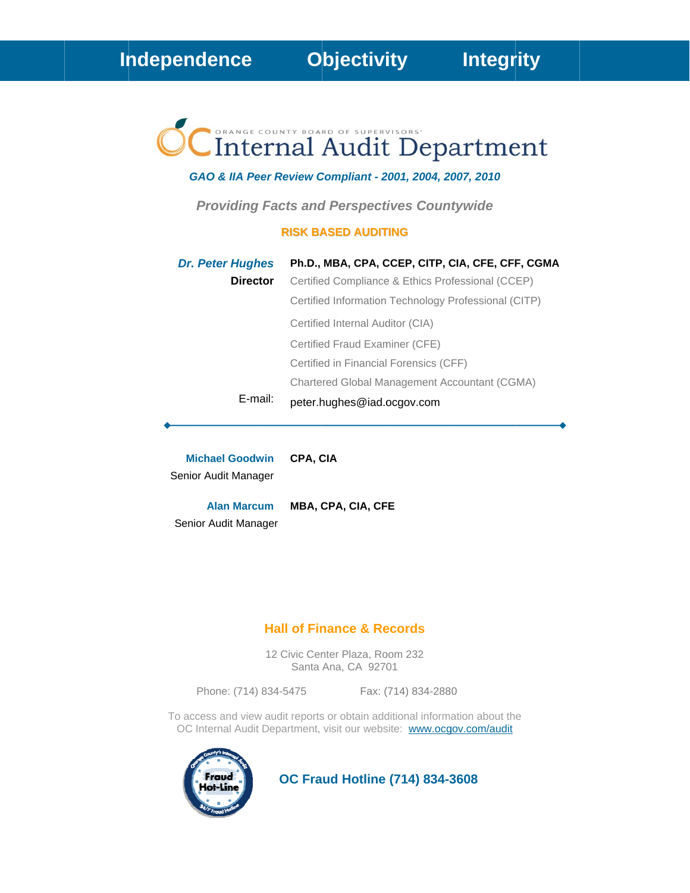# Internal Audit Department

#### GAO & IIA Peer Review Compliant - 2001, 2004, 2007, 2010

**Providing Facts and Perspectives Countywide** 

#### **RISK BASED AUDITING**

| <b>Dr. Peter Hughes</b> | Ph.D., MBA, CPA, CCEP, CITP, CIA, CFE, CFF, CGMA     |
|-------------------------|------------------------------------------------------|
| <b>Director</b>         | Certified Compliance & Ethics Professional (CCEP)    |
|                         | Certified Information Technology Professional (CITP) |
|                         | Certified Internal Auditor (CIA)                     |
|                         | Certified Fraud Examiner (CFE)                       |
|                         | Certified in Financial Forensics (CFF)               |
|                         | Chartered Global Management Accountant (CGMA)        |
| E-mail:                 | peter.hughes@iad.ocgov.com                           |

**Michael Goodwin** Senior Audit Manager

**Alan Marcum** MBA, CPA, CIA, CFE Senior Audit Manager

CPA, CIA

#### **Hall of Finance & Records**

12 Civic Center Plaza, Room 232 Santa Ana, CA 92701

Phone: (714) 834-5475 Fax: (714) 834-2880

To access and view audit reports or obtain additional information about the OC Internal Audit Department, visit our website: www.ocgov.com/audit



**OC Fraud Hotline (714) 834-3608**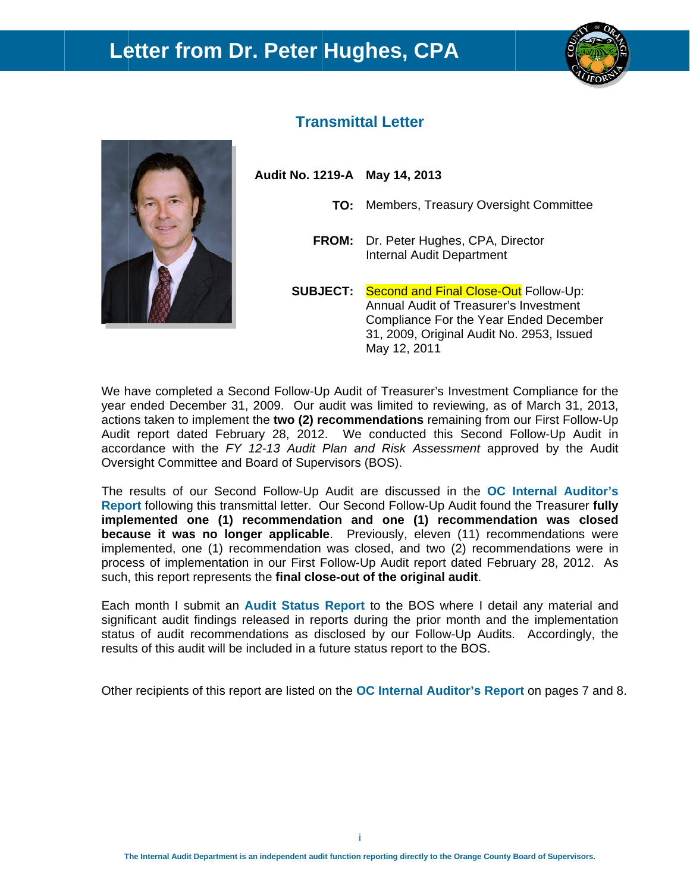## Letter from Dr. Peter Hughes, CPA





### **Transmittal Letter**

Audit No. 1219-A May 14, 2013

- TO: Members, Treasury Oversight Committee
- FROM: Dr. Peter Hughes, CPA, Director **Internal Audit Department**

**SUBJECT:** Second and Final Close-Out Follow-Up: Annual Audit of Treasurer's Investment Compliance For the Year Ended December 31, 2009, Original Audit No. 2953, Issued May 12, 2011

We have completed a Second Follow-Up Audit of Treasurer's Investment Compliance for the year ended December 31, 2009. Our audit was limited to reviewing, as of March 31, 2013, actions taken to implement the two (2) recommendations remaining from our First Follow-Up Audit report dated February 28, 2012. We conducted this Second Follow-Up Audit in accordance with the FY 12-13 Audit Plan and Risk Assessment approved by the Audit Oversight Committee and Board of Supervisors (BOS).

The results of our Second Follow-Up Audit are discussed in the OC Internal Auditor's Report following this transmittal letter. Our Second Follow-Up Audit found the Treasurer fully implemented one (1) recommendation and one (1) recommendation was closed because it was no longer applicable. Previously, eleven (11) recommendations were implemented, one (1) recommendation was closed, and two (2) recommendations were in process of implementation in our First Follow-Up Audit report dated February 28, 2012. As such, this report represents the final close-out of the original audit.

Each month I submit an Audit Status Report to the BOS where I detail any material and significant audit findings released in reports during the prior month and the implementation status of audit recommendations as disclosed by our Follow-Up Audits. Accordingly, the results of this audit will be included in a future status report to the BOS.

Other recipients of this report are listed on the **OC Internal Auditor's Report** on pages 7 and 8.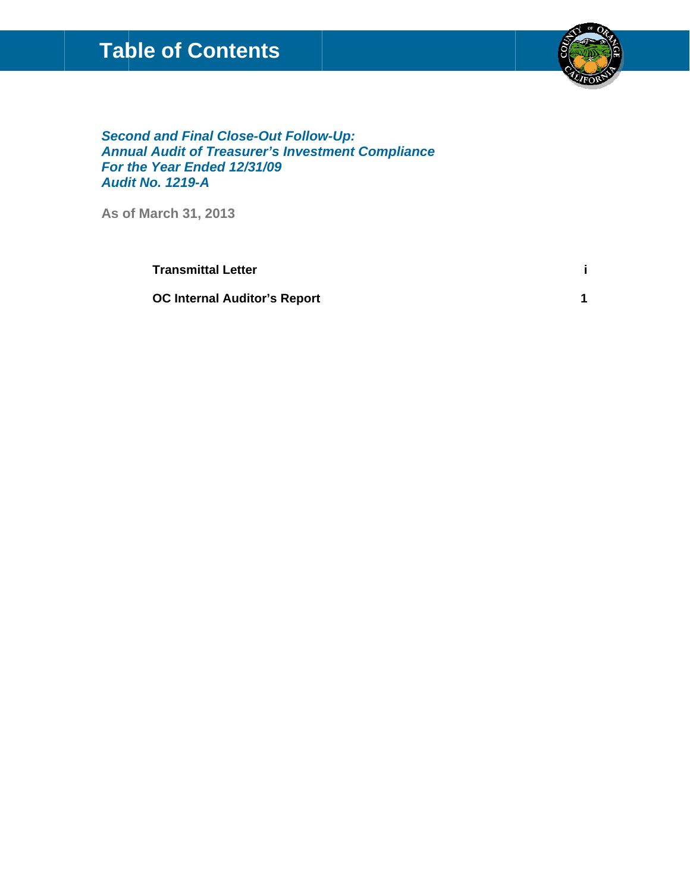## **Table of Contents**



 $\mathbf{i}$ 

 $\overline{1}$ 

**Second and Final Close-Out Follow-Up: Annual Audit of Treasurer's Investment Compliance** For the Year Ended 12/31/09 **Audit No. 1219-A** 

As of March 31, 2013

**Transmittal Letter** 

**OC Internal Auditor's Report**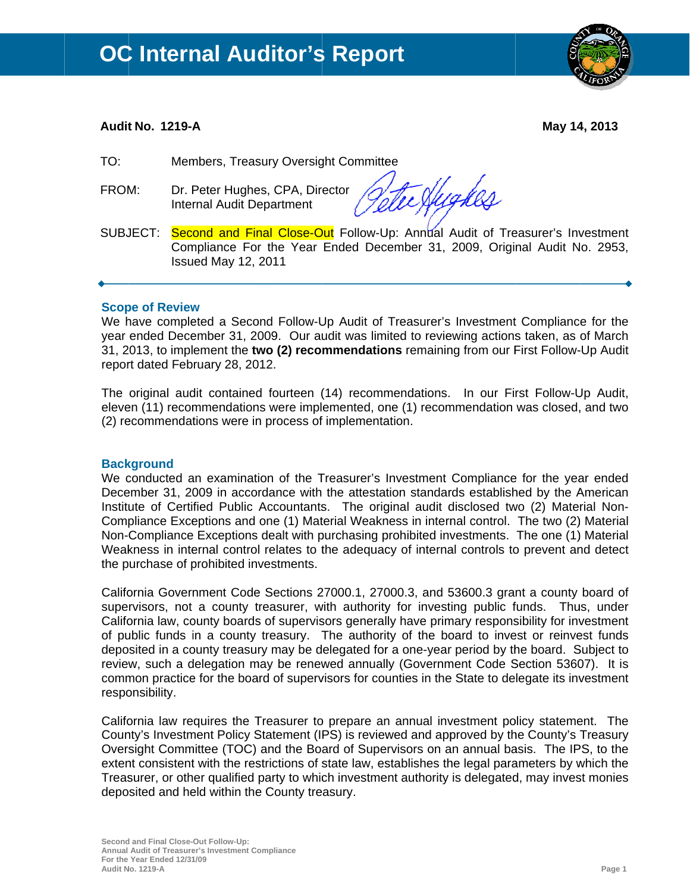

#### Audit No. 1219-A

May 14, 2013

- $TO:$ Members, Treasury Oversight Committee
- FROM: Dr. Peter Hughes, CPA, Director Internal Audit Department

Hygker

Second and Final Close-Out Follow-Up: Annual Audit of Treasurer's Investment SUBJECT: Compliance For the Year Ended December 31, 2009, Original Audit No. 2953, Issued May 12, 2011

#### **Scope of Review**

We have completed a Second Follow-Up Audit of Treasurer's Investment Compliance for the year ended December 31, 2009. Our audit was limited to reviewing actions taken, as of March 31, 2013, to implement the two (2) recommendations remaining from our First Follow-Up Audit report dated February 28, 2012.

The original audit contained fourteen (14) recommendations. In our First Follow-Up Audit, eleven (11) recommendations were implemented, one (1) recommendation was closed, and two (2) recommendations were in process of implementation.

#### **Background**

We conducted an examination of the Treasurer's Investment Compliance for the year ended December 31, 2009 in accordance with the attestation standards established by the American Institute of Certified Public Accountants. The original audit disclosed two (2) Material Non-Compliance Exceptions and one (1) Material Weakness in internal control. The two (2) Material Non-Compliance Exceptions dealt with purchasing prohibited investments. The one (1) Material Weakness in internal control relates to the adequacy of internal controls to prevent and detect the purchase of prohibited investments.

California Government Code Sections 27000.1, 27000.3, and 53600.3 grant a county board of supervisors, not a county treasurer, with authority for investing public funds. Thus, under California law, county boards of supervisors generally have primary responsibility for investment of public funds in a county treasury. The authority of the board to invest or reinvest funds deposited in a county treasury may be delegated for a one-year period by the board. Subject to review, such a delegation may be renewed annually (Government Code Section 53607). It is common practice for the board of supervisors for counties in the State to delegate its investment responsibility.

California law requires the Treasurer to prepare an annual investment policy statement. The County's Investment Policy Statement (IPS) is reviewed and approved by the County's Treasury Oversight Committee (TOC) and the Board of Supervisors on an annual basis. The IPS, to the extent consistent with the restrictions of state law, establishes the legal parameters by which the Treasurer, or other qualified party to which investment authority is delegated, may invest monies deposited and held within the County treasury.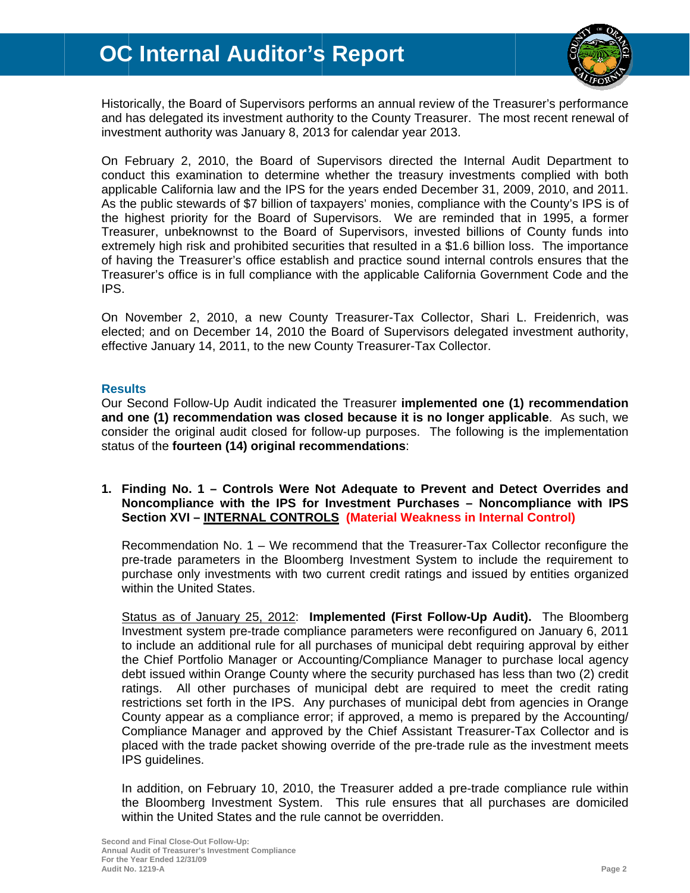

Historically, the Board of Supervisors performs an annual review of the Treasurer's performance and has delegated its investment authority to the County Treasurer. The most recent renewal of investment authority was January 8, 2013 for calendar year 2013.

On February 2, 2010, the Board of Supervisors directed the Internal Audit Department to conduct this examination to determine whether the treasury investments complied with both applicable California law and the IPS for the years ended December 31, 2009, 2010, and 2011. As the public stewards of \$7 billion of taxpayers' monies, compliance with the County's IPS is of the highest priority for the Board of Supervisors. We are reminded that in 1995, a former Treasurer, unbeknownst to the Board of Supervisors, invested billions of County funds into extremely high risk and prohibited securities that resulted in a \$1.6 billion loss. The importance of having the Treasurer's office establish and practice sound internal controls ensures that the Treasurer's office is in full compliance with the applicable California Government Code and the IPS.

On November 2, 2010, a new County Treasurer-Tax Collector, Shari L. Freidenrich, was elected; and on December 14, 2010 the Board of Supervisors delegated investment authority, effective January 14, 2011, to the new County Treasurer-Tax Collector.

#### **Results**

Our Second Follow-Up Audit indicated the Treasurer implemented one (1) recommendation and one (1) recommendation was closed because it is no longer applicable. As such, we consider the original audit closed for follow-up purposes. The following is the implementation status of the fourteen (14) original recommendations:

1. Finding No. 1 – Controls Were Not Adequate to Prevent and Detect Overrides and Noncompliance with the IPS for Investment Purchases - Noncompliance with IPS Section XVI - INTERNAL CONTROLS (Material Weakness in Internal Control)

Recommendation No. 1 - We recommend that the Treasurer-Tax Collector reconfigure the pre-trade parameters in the Bloomberg Investment System to include the requirement to purchase only investments with two current credit ratings and issued by entities organized within the United States.

Status as of January 25, 2012: Implemented (First Follow-Up Audit). The Bloomberg Investment system pre-trade compliance parameters were reconfigured on January 6, 2011 to include an additional rule for all purchases of municipal debt requiring approval by either the Chief Portfolio Manager or Accounting/Compliance Manager to purchase local agency debt issued within Orange County where the security purchased has less than two (2) credit ratings. All other purchases of municipal debt are required to meet the credit rating restrictions set forth in the IPS. Any purchases of municipal debt from agencies in Orange County appear as a compliance error; if approved, a memo is prepared by the Accounting/ Compliance Manager and approved by the Chief Assistant Treasurer-Tax Collector and is placed with the trade packet showing override of the pre-trade rule as the investment meets IPS guidelines.

In addition, on February 10, 2010, the Treasurer added a pre-trade compliance rule within the Bloomberg Investment System. This rule ensures that all purchases are domiciled within the United States and the rule cannot be overridden.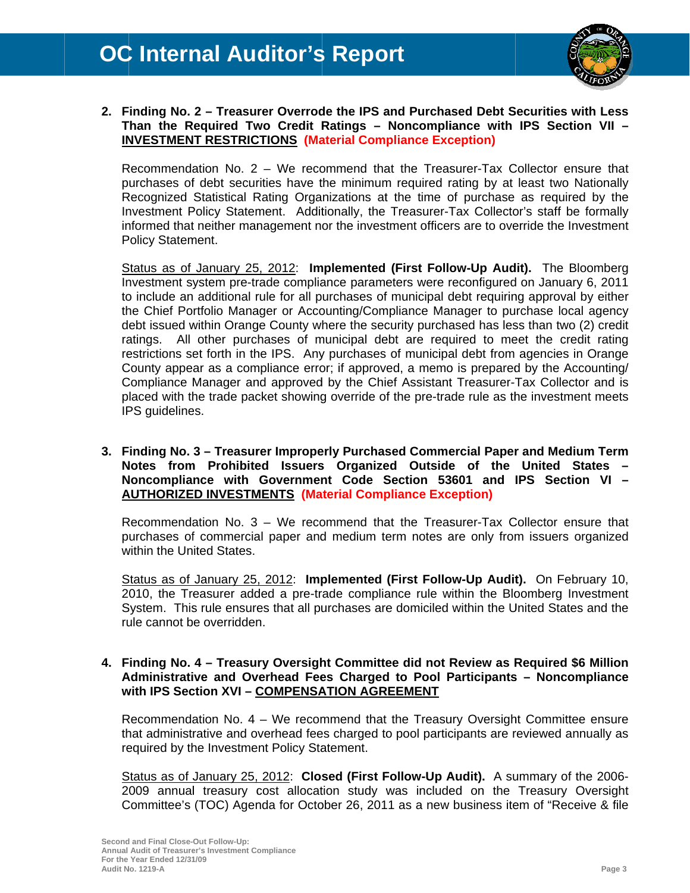

2. Finding No. 2 - Treasurer Overrode the IPS and Purchased Debt Securities with Less Than the Required Two Credit Ratings - Noncompliance with IPS Section VII -**INVESTMENT RESTRICTIONS (Material Compliance Exception)** 

Recommendation No. 2 - We recommend that the Treasurer-Tax Collector ensure that purchases of debt securities have the minimum required rating by at least two Nationally Recognized Statistical Rating Organizations at the time of purchase as required by the Investment Policy Statement. Additionally, the Treasurer-Tax Collector's staff be formally informed that neither management nor the investment officers are to override the Investment **Policy Statement.** 

Status as of January 25, 2012: Implemented (First Follow-Up Audit). The Bloomberg Investment system pre-trade compliance parameters were reconfigured on January 6, 2011 to include an additional rule for all purchases of municipal debt requiring approval by either the Chief Portfolio Manager or Accounting/Compliance Manager to purchase local agency debt issued within Orange County where the security purchased has less than two (2) credit ratings. All other purchases of municipal debt are required to meet the credit rating restrictions set forth in the IPS. Any purchases of municipal debt from agencies in Orange County appear as a compliance error; if approved, a memo is prepared by the Accounting/ Compliance Manager and approved by the Chief Assistant Treasurer-Tax Collector and is placed with the trade packet showing override of the pre-trade rule as the investment meets IPS guidelines.

#### 3. Finding No. 3 – Treasurer Improperly Purchased Commercial Paper and Medium Term Notes from Prohibited Issuers Organized Outside of the United States Noncompliance with Government Code Section 53601 and IPS Section VI -**AUTHORIZED INVESTMENTS (Material Compliance Exception)**

Recommendation No. 3 – We recommend that the Treasurer-Tax Collector ensure that purchases of commercial paper and medium term notes are only from issuers organized within the United States.

Status as of January 25, 2012: Implemented (First Follow-Up Audit). On February 10, 2010, the Treasurer added a pre-trade compliance rule within the Bloomberg Investment System. This rule ensures that all purchases are domiciled within the United States and the rule cannot be overridden.

#### 4. Finding No. 4 – Treasury Oversight Committee did not Review as Required \$6 Million Administrative and Overhead Fees Charged to Pool Participants - Noncompliance with IPS Section XVI - COMPENSATION AGREEMENT

Recommendation No. 4 - We recommend that the Treasury Oversight Committee ensure that administrative and overhead fees charged to pool participants are reviewed annually as required by the Investment Policy Statement.

Status as of January 25, 2012: Closed (First Follow-Up Audit). A summary of the 2006-2009 annual treasury cost allocation study was included on the Treasury Oversight Committee's (TOC) Agenda for October 26, 2011 as a new business item of "Receive & file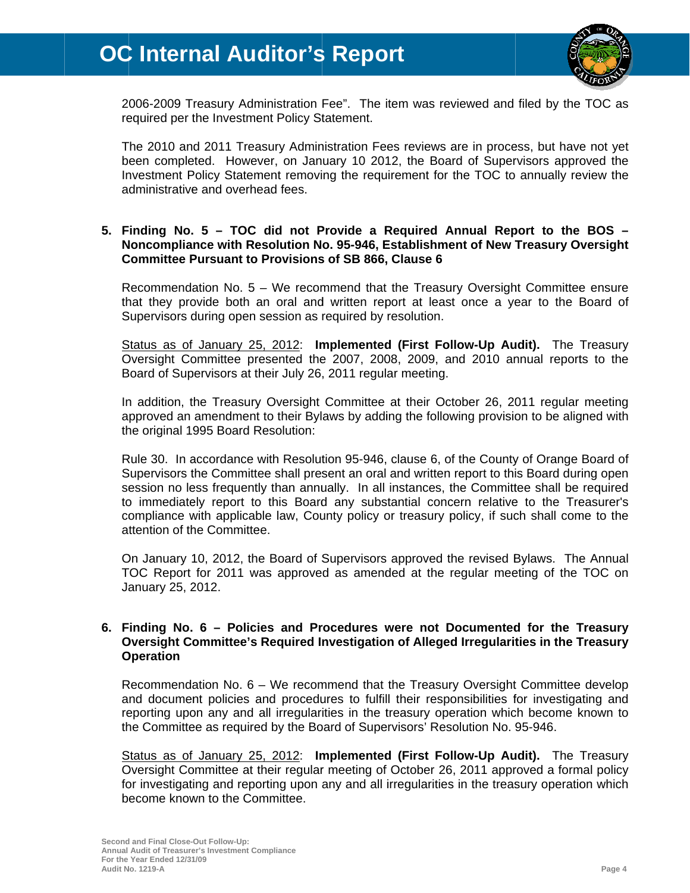

2006-2009 Treasury Administration Fee". The item was reviewed and filed by the TOC as required per the Investment Policy Statement.

The 2010 and 2011 Treasury Administration Fees reviews are in process, but have not yet been completed. However, on January 10 2012, the Board of Supervisors approved the Investment Policy Statement removing the requirement for the TOC to annually review the administrative and overhead fees.

#### 5. Finding No. 5 - TOC did not Provide a Required Annual Report to the BOS -Noncompliance with Resolution No. 95-946, Establishment of New Treasury Oversight **Committee Pursuant to Provisions of SB 866, Clause 6**

Recommendation No. 5 - We recommend that the Treasury Oversight Committee ensure that they provide both an oral and written report at least once a year to the Board of Supervisors during open session as required by resolution.

Status as of January 25, 2012: Implemented (First Follow-Up Audit). The Treasury Oversight Committee presented the 2007, 2008, 2009, and 2010 annual reports to the Board of Supervisors at their July 26, 2011 regular meeting.

In addition, the Treasury Oversight Committee at their October 26, 2011 regular meeting approved an amendment to their Bylaws by adding the following provision to be aligned with the original 1995 Board Resolution:

Rule 30. In accordance with Resolution 95-946, clause 6, of the County of Orange Board of Supervisors the Committee shall present an oral and written report to this Board during open session no less frequently than annually. In all instances, the Committee shall be required to immediately report to this Board any substantial concern relative to the Treasurer's compliance with applicable law, County policy or treasury policy, if such shall come to the attention of the Committee.

On January 10, 2012, the Board of Supervisors approved the revised Bylaws. The Annual TOC Report for 2011 was approved as amended at the regular meeting of the TOC on January 25, 2012.

#### 6. Finding No. 6 – Policies and Procedures were not Documented for the Treasury Oversight Committee's Required Investigation of Alleged Irregularities in the Treasury **Operation**

Recommendation No. 6 - We recommend that the Treasury Oversight Committee develop and document policies and procedures to fulfill their responsibilities for investigating and reporting upon any and all irregularities in the treasury operation which become known to the Committee as required by the Board of Supervisors' Resolution No. 95-946.

Status as of January 25, 2012: Implemented (First Follow-Up Audit). The Treasury Oversight Committee at their regular meeting of October 26, 2011 approved a formal policy for investigating and reporting upon any and all irregularities in the treasury operation which become known to the Committee.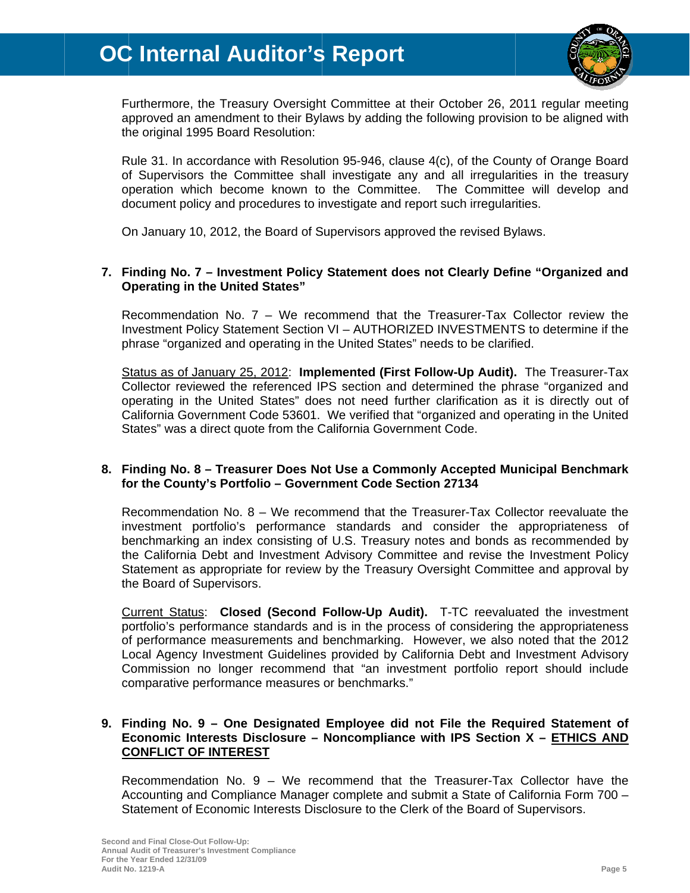

Furthermore, the Treasury Oversight Committee at their October 26, 2011 regular meeting approved an amendment to their Bylaws by adding the following provision to be aligned with the original 1995 Board Resolution:

Rule 31. In accordance with Resolution 95-946, clause 4(c), of the County of Orange Board of Supervisors the Committee shall investigate any and all irregularities in the treasury operation which become known to the Committee. The Committee will develop and document policy and procedures to investigate and report such irregularities.

On January 10, 2012, the Board of Supervisors approved the revised Bylaws.

#### 7. Finding No. 7 - Investment Policy Statement does not Clearly Define "Organized and **Operating in the United States"**

Recommendation No. 7 - We recommend that the Treasurer-Tax Collector review the Investment Policy Statement Section VI - AUTHORIZED INVESTMENTS to determine if the phrase "organized and operating in the United States" needs to be clarified.

Status as of January 25, 2012: Implemented (First Follow-Up Audit). The Treasurer-Tax Collector reviewed the referenced IPS section and determined the phrase "organized and operating in the United States" does not need further clarification as it is directly out of California Government Code 53601. We verified that "organized and operating in the United States" was a direct quote from the California Government Code.

#### 8. Finding No. 8 - Treasurer Does Not Use a Commonly Accepted Municipal Benchmark for the County's Portfolio - Government Code Section 27134

Recommendation No. 8 - We recommend that the Treasurer-Tax Collector reevaluate the investment portfolio's performance standards and consider the appropriateness of benchmarking an index consisting of U.S. Treasury notes and bonds as recommended by the California Debt and Investment Advisory Committee and revise the Investment Policy Statement as appropriate for review by the Treasury Oversight Committee and approval by the Board of Supervisors.

Current Status: Closed (Second Follow-Up Audit). T-TC reevaluated the investment portfolio's performance standards and is in the process of considering the appropriateness of performance measurements and benchmarking. However, we also noted that the 2012 Local Agency Investment Guidelines provided by California Debt and Investment Advisory Commission no longer recommend that "an investment portfolio report should include comparative performance measures or benchmarks."

#### 9. Finding No. 9 - One Designated Employee did not File the Required Statement of Economic Interests Disclosure - Noncompliance with IPS Section X - ETHICS AND **CONFLICT OF INTEREST**

Recommendation No. 9 - We recommend that the Treasurer-Tax Collector have the Accounting and Compliance Manager complete and submit a State of California Form 700 -Statement of Economic Interests Disclosure to the Clerk of the Board of Supervisors.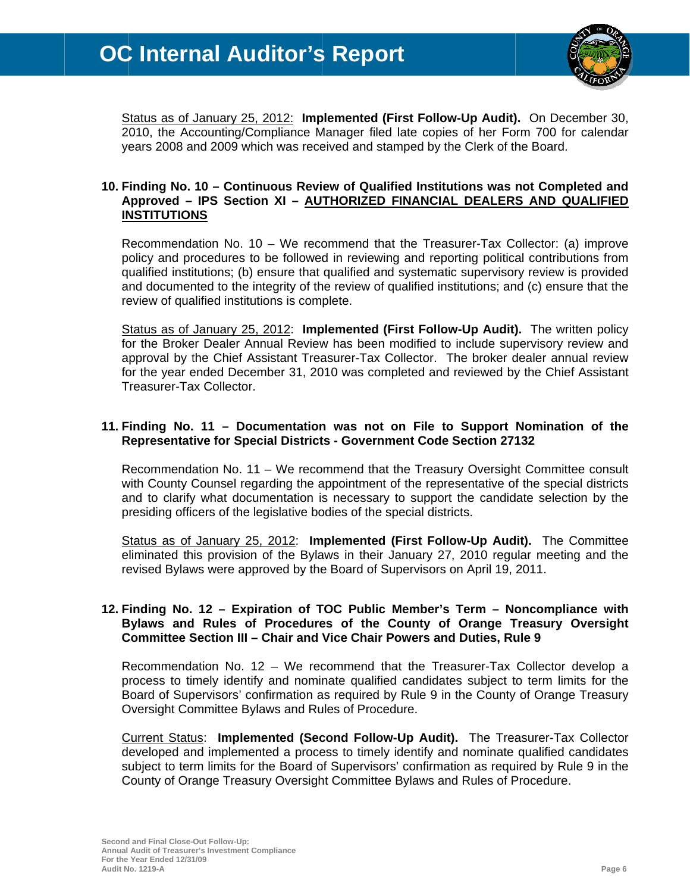

Status as of January 25, 2012: Implemented (First Follow-Up Audit). On December 30, 2010, the Accounting/Compliance Manager filed late copies of her Form 700 for calendar years 2008 and 2009 which was received and stamped by the Clerk of the Board.

#### 10. Finding No. 10 - Continuous Review of Qualified Institutions was not Completed and Approved - IPS Section XI - AUTHORIZED FINANCIAL DEALERS AND QUALIFIED **INSTITUTIONS**

Recommendation No. 10 - We recommend that the Treasurer-Tax Collector: (a) improve policy and procedures to be followed in reviewing and reporting political contributions from qualified institutions; (b) ensure that qualified and systematic supervisory review is provided and documented to the integrity of the review of qualified institutions; and (c) ensure that the review of qualified institutions is complete.

Status as of January 25, 2012: Implemented (First Follow-Up Audit). The written policy for the Broker Dealer Annual Review has been modified to include supervisory review and approval by the Chief Assistant Treasurer-Tax Collector. The broker dealer annual review for the year ended December 31, 2010 was completed and reviewed by the Chief Assistant Treasurer-Tax Collector.

#### 11. Finding No. 11 - Documentation was not on File to Support Nomination of the **Representative for Special Districts - Government Code Section 27132**

Recommendation No. 11 – We recommend that the Treasury Oversight Committee consult with County Counsel regarding the appointment of the representative of the special districts and to clarify what documentation is necessary to support the candidate selection by the presiding officers of the legislative bodies of the special districts.

Status as of January 25, 2012: Implemented (First Follow-Up Audit). The Committee eliminated this provision of the Bylaws in their January 27, 2010 regular meeting and the revised Bylaws were approved by the Board of Supervisors on April 19, 2011.

#### 12. Finding No. 12 – Expiration of TOC Public Member's Term – Noncompliance with Bylaws and Rules of Procedures of the County of Orange Treasury Oversight **Committee Section III - Chair and Vice Chair Powers and Duties, Rule 9**

Recommendation No. 12 - We recommend that the Treasurer-Tax Collector develop a process to timely identify and nominate qualified candidates subject to term limits for the Board of Supervisors' confirmation as required by Rule 9 in the County of Orange Treasury Oversight Committee Bylaws and Rules of Procedure.

Current Status: Implemented (Second Follow-Up Audit). The Treasurer-Tax Collector developed and implemented a process to timely identify and nominate qualified candidates subject to term limits for the Board of Supervisors' confirmation as required by Rule 9 in the County of Orange Treasury Oversight Committee Bylaws and Rules of Procedure.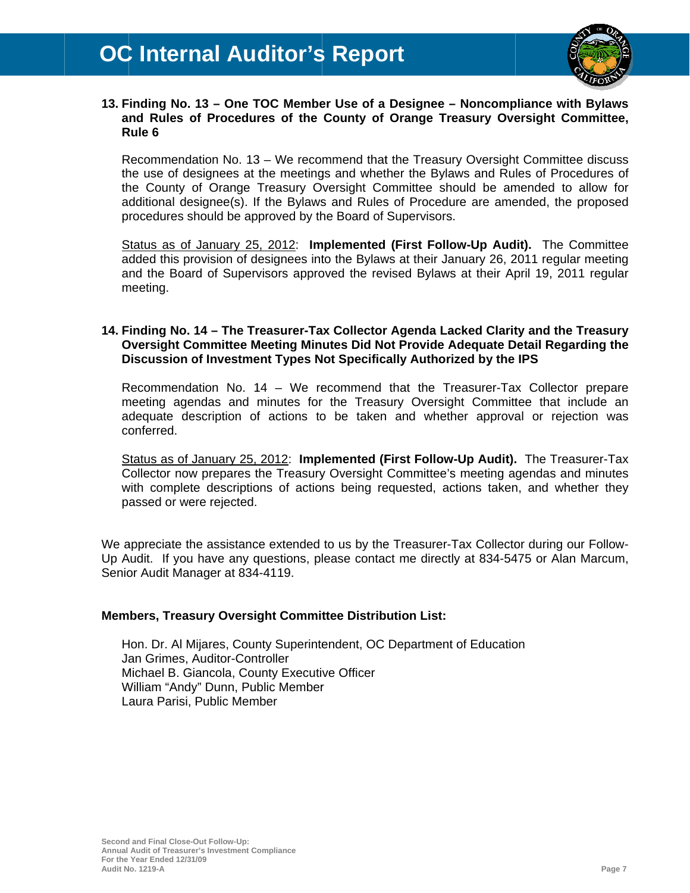

#### 13. Finding No. 13 – One TOC Member Use of a Designee – Noncompliance with Bylaws and Rules of Procedures of the County of Orange Treasury Oversight Committee, Rule 6

Recommendation No. 13 – We recommend that the Treasury Oversight Committee discuss the use of designees at the meetings and whether the Bylaws and Rules of Procedures of the County of Orange Treasury Oversight Committee should be amended to allow for additional designee(s). If the Bylaws and Rules of Procedure are amended, the proposed procedures should be approved by the Board of Supervisors.

Status as of January 25, 2012: Implemented (First Follow-Up Audit). The Committee added this provision of designees into the Bylaws at their January 26, 2011 regular meeting and the Board of Supervisors approved the revised Bylaws at their April 19, 2011 regular meeting.

#### 14. Finding No. 14 - The Treasurer-Tax Collector Agenda Lacked Clarity and the Treasury Oversight Committee Meeting Minutes Did Not Provide Adequate Detail Regarding the Discussion of Investment Types Not Specifically Authorized by the IPS

Recommendation No. 14 - We recommend that the Treasurer-Tax Collector prepare meeting agendas and minutes for the Treasury Oversight Committee that include an adequate description of actions to be taken and whether approval or rejection was conferred.

Status as of January 25, 2012: Implemented (First Follow-Up Audit). The Treasurer-Tax Collector now prepares the Treasury Oversight Committee's meeting agendas and minutes with complete descriptions of actions being requested, actions taken, and whether they passed or were rejected.

We appreciate the assistance extended to us by the Treasurer-Tax Collector during our Follow-Up Audit. If you have any questions, please contact me directly at 834-5475 or Alan Marcum, Senior Audit Manager at 834-4119.

#### **Members, Treasury Oversight Committee Distribution List:**

Hon. Dr. Al Mijares, County Superintendent, OC Department of Education Jan Grimes, Auditor-Controller Michael B. Giancola, County Executive Officer William "Andy" Dunn, Public Member Laura Parisi, Public Member